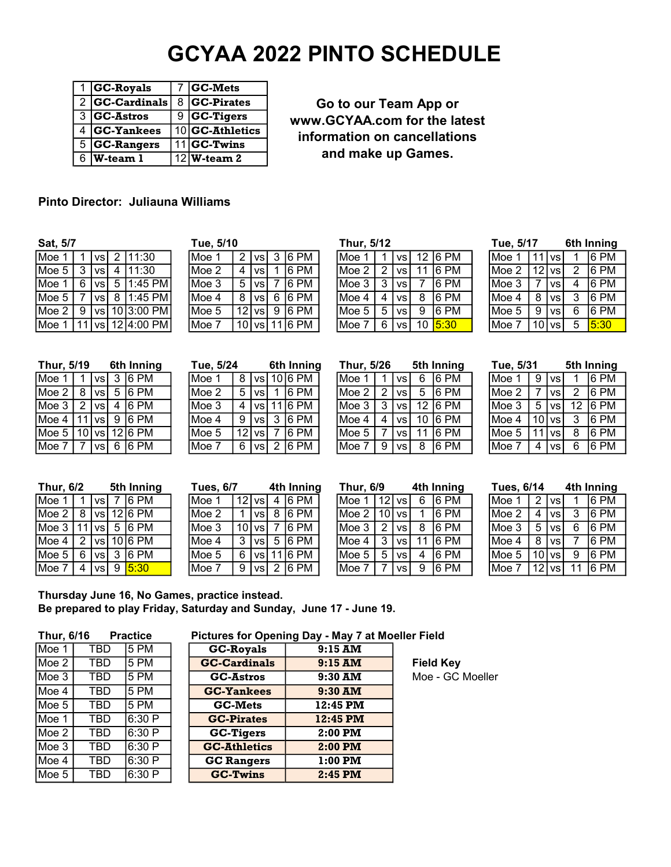# GCYAA 2022 PINTO SCHEDULE

|   | <b>GC-Royals</b> | <b>GC-Mets</b>           |
|---|------------------|--------------------------|
|   | $2 GC-Cardinals$ | 8 GC-Pirates             |
|   | $3 GC-Astros$    | $9$ GC-Tigers            |
|   | $4 GC-Yankees$   | 10 GC-Athletics          |
|   | $5$ GC-Rangers   | $\overline{11}$ GC-Twins |
| 6 | W-team 1         | $\overline{12}$ W-team 2 |

Go to our Team App or www.GCYAA.com for the latest information on cancellations and make up Games.

## Pinto Director: Juliauna Williams

| vau von |             |   |                | 1 uv. v/ 1 v |   |           |    |         |        |             |                 |    |         | .      |         |        |   | vur muniq |
|---------|-------------|---|----------------|--------------|---|-----------|----|---------|--------|-------------|-----------------|----|---------|--------|---------|--------|---|-----------|
| Moe     | vsl         | 2 | 11:30          | lMoe l       | 2 | l vs l    |    | $ 6$ PM | Moe    |             | VS <sub>1</sub> |    | 12 6 PM | Moe    | 11      | ⊡VS∟   |   | 16 PM     |
| Moe 5   | <u>Ivsl</u> | 4 | 11:30          | Moe 2        | 4 | <b>VS</b> |    | 16 PM   | IMoe 2 |             | VS <sub>1</sub> | 11 | 16 PM   | 'Moe 2 | $12$ vs |        |   | 16 PM     |
| Moe     | l vs l      | 5 | 1:45 PM        | Moe 3        | 5 | <b>VS</b> |    | 16 PM   | lMoe 3 |             | VS              |    | 16 PM   | Moe 3  |         | VS.    |   | 16 PM     |
| Moe 5   | 'vsl        | 8 | 1:45 PM        | Moe 4        | 8 | l vsl     | 6  | 16 PM   | IMoe 4 | 4           | VS <sub>1</sub> | 8  | 16 PM   | Moe 4  | 8       | VS.    |   | 6 PM      |
| Moe 2   | l vs l      |   | 1013:00 PM     | Moe 5        |   | 12 vs     | -9 | 16 PM   | lMoe 5 | $\mathbf b$ | VS <sub>1</sub> | 9  | 16 PM   | lMoe 5 | 9       | 'VSI   | 6 | 6 PM      |
| Moe     |             |   | vs  12 4:00 PM | Moe 7        |   | 10 vs     |    | 16 PM   | lMoe   | 6           | VS <sub>I</sub> |    | 10 5:30 | Moe    | 10      | `I vs⊥ | 5 | 15:30     |

| Tue, 5/10 |   |          |                |                   |
|-----------|---|----------|----------------|-------------------|
| Moe 1     |   | 2  vs    |                | $3 6$ PM          |
| Moe 2     | 4 | vs       |                | 6PM               |
| Moe 3     |   | $5$   vs | $\overline{7}$ | 6PM               |
| Moe 4     |   |          |                | 8   vs   6   6 PM |
| Moe 5     |   | 12 vs    | $\overline{9}$ | 6PM               |
| Moe 7     |   |          |                | 10 vs 11 6 PM     |

| Tue, 5/24 |   |                    | 6th Inning                            |
|-----------|---|--------------------|---------------------------------------|
| Moe 1     |   |                    | 8   vs   10   6 PM                    |
| Moe 2     | 5 |                    | $\sqrt{v}$ 1 6 PM                     |
| Moe 3     |   | 4   vs   11   6 PM |                                       |
| Moe 4     |   |                    | $9$   vs   $3$   6 PM                 |
| Moe 5     |   |                    | 12   vs   7   6 PM                    |
| Moe 7     |   |                    | $6 \vert vs \vert 2 \vert 6 \vert PM$ |

| Sat, 5/7      |   |            |   |            | Tue, 5/10 |    |           |    |           | Thur. 5/12 |   |                 |    |       | Tue, 5/17 |   |          |   | 6th Inning |
|---------------|---|------------|---|------------|-----------|----|-----------|----|-----------|------------|---|-----------------|----|-------|-----------|---|----------|---|------------|
| Moe $\,$ $\,$ |   | vs         |   | 11:30      | $1$ Moe 1 | 2  | vsl       | -3 | 6PM       | lMoe       |   | VS              | 12 | 16 PM | Moe       |   | l vs     |   | 16 PM      |
| Moe 5         |   | <b>VSI</b> | 4 | 11:30      | Moe 2     | 4  | <b>VS</b> |    | 16 PM     | Moe 2      | 2 | VS <sub>1</sub> |    | 16 PM | lMoe 2    |   | 12 vs    | 2 | 16 PM      |
| Moe 1         | 6 | VS I       | 5 | 1:45 PM    | Moe 3     | 5  | <b>VS</b> |    | 16 PM     | lMoe 3     |   | VS,             |    | 16 PM | lMoe 3    |   | VS I     | 4 | 16 PM      |
| Moe $51$      |   | vs I       | 8 | 1:45 PM    | Moe 4     | 8  | vsl       |    | 6 6 PM    | Moe 4      | 4 | VS I            | 8  | 16 PM | lMoe 4    | 8 | VS       | 3 | 16 PM      |
| Moe 2         | 9 | <b>VSI</b> |   | 10 3:00 PM | Moe 5     | 12 | vs l      | -9 | $ 6$ PM   | Moe 5      | 5 | <b>VS</b>       | 9  | 16 PM | lMoe 5    | 9 | '∨si     | 6 | 6 PM       |
| Moe 1         |   | `vs∣       |   | 12 4:00 PM | Moe 7     |    | 10 vs     |    | $11 6$ PM | lMoe       | 6 | VS I            | 10 | 5:30  | lMoe      |   | 10 I vsl | 5 | 5:30       |

| Tue, 5/17 |    |                     | 6th Inning     |      |
|-----------|----|---------------------|----------------|------|
| Moe 1     | 11 | <b>VS</b>           |                | 6 PM |
| Moe 2     |    | $\overline{1}2$  vs | $\overline{2}$ | 6PM  |
| Moe 3     |    | <b>VS</b>           | 4              | 6PM  |
| Moe 4     | 8  | <b>VS</b>           | $\overline{3}$ | 6 PM |
| Moe 5     | 9  | <b>VS</b>           | 6              | 6 PM |
| Moe 7     |    | $10$ vs             | $\overline{5}$ | 5:30 |

| Thur, 5/19 |        | 6th Inning | Tue, 5/24 |    |           | 6th Inning | Thur, 5/26 |                 |    | 5th Inning | Tue, 5/31 |   |        |    | 5th Inning |
|------------|--------|------------|-----------|----|-----------|------------|------------|-----------------|----|------------|-----------|---|--------|----|------------|
| Moe        | VS I   | $3 6$ PM   | Moe 1     | 8  | vsl       | 10 6 PM    | Moe        | <b>VS</b>       | 6  | 16 PM      | Moe       | 9 | l vs   |    | 16 PM      |
| Moe 2      | vs l   | 16 PM      | Moe 2     | 5  | <b>VS</b> | 6 PM       | Moe 2      | VS              |    | 16 PM      | Moe 2     |   | ' VS   |    | l6 PM      |
| Moe 3      | VS     | 16 PM      | Moe 3     | 4  | vsl       | $11 6$ PM  | IMoe 3     | VS              | 12 | 16 PM      | Moe 3     |   | ' VS   | 12 | 16 PM      |
| lMoe 4     | 'VSI   | 6 PM       | Moe 4     | 9  | vsl       | 6 PM       | lMoe 4     | VS <sub>1</sub> | 10 | 16 PM      | Moe 4     |   | 10Ivs. |    | 16 PM      |
| Moe 5      | 10 vsl | $12 6$ PM  | Moe 5     | 12 | VS.       | 16 PM      | lMoe 5     | VS <sub>1</sub> |    | 16 PM      | Moe 5     |   | I VS   |    | l6 PM      |
| Moe i      | vs l   | 6 6 PM     | Moe 7     | 6  | vsl       | $ 6$ PM    | Moe        | VS              | 8  | 16 PM      | Moe       | 4 | l vs   | 6  | 16 PM      |

| Vloe 2 | 5 | l vsl | 1 16 PM           |
|--------|---|-------|-------------------|
| Moe 3  | 4 |       | vs  11 6 PM       |
| Moe 4  | 9 |       | vs  3  6 PM       |
| Moe 5  |   | 12 vs | 6 PM              |
| Moe 7  |   |       | 6   vs   2   6 PM |
|        |   |       |                   |
|        |   |       |                   |

| Thur, 5/19 |   |            |   | 6th Inning | Tue, 5/24 |    |            | 6th Inning | Thur, 5/26  |   |                 |                 | 5th Inning | Tue, 5/31 |   |           |    | 5th Inning |
|------------|---|------------|---|------------|-----------|----|------------|------------|-------------|---|-----------------|-----------------|------------|-----------|---|-----------|----|------------|
| Moe 1      |   | VS!        |   | $3 6$ PM   | ⊥Moe 1    | 8  | vsl        | $10 6$ PM  | Moe         |   | vs              | 6               | 16 PM      | Moe       | 9 | <b>VS</b> |    | 6 PM       |
| Moe 2      | 8 | vsl        |   | 5 6 PM     | Moe 2     | 5  | <b>VS</b>  | 6 PM       | Moe 2       |   | VS <sub>1</sub> | 5               | 16 PM      | lMoe 2    |   | VS        | 2  | l6 PM      |
| Moe 3      |   | <b>VSI</b> | 4 | 16 PM      | Moe 3     |    | 'vsl       | 16 PM      | lMoe 3      |   | VS <sub>1</sub> | 12              | 16 PM      | lMoe :    | 5 | <b>VS</b> | 12 | 16 PM      |
| Moe 4      |   | vsl        | 9 | 16 PM      | Moe 4     | 9  | vs l       | 16 PM      | lMoe 4      | 4 | <b>VS</b>       | 10 <sup>1</sup> | 16 PM      | lMoe 4    |   | $10$ vs   | 3  | l6 PM      |
| Moe 5      |   | 10Ivsl     |   | $12 6$ PM  | Moe 5     | 12 | <b>vsl</b> | 16 PM      | lMoe 5      |   | VS.             |                 | 16 PM      | lMoe 5    |   | l vs.     | 8  | 16 PM      |
| Moe 7      |   | vsl        |   | 6 6 PM     | IMoe 7    | 6  | vsl        | 16 PM      | <b>IMoe</b> | 9 | VS <sub>1</sub> | 8               | 16 PM      | Moe       | 4 | <b>VS</b> | 6  | 16 PM      |

| Tue, 5/31 |                |           |    | 5th Inning |
|-----------|----------------|-----------|----|------------|
| Moe 1     | 9              | <b>vs</b> |    | 6PM        |
| Moe 2     | $\overline{7}$ | vs l      | 2  | 6 PM       |
| Moe 3     | 5              | <b>VS</b> | 12 | 6 PM       |
| Moe 4     |                | $10$ vs   | 3  | 6 PM       |
| Moe 5     | 11             | <b>VS</b> | 8  | 6 PM       |
| Moe 7     | 4              | vs l      | 6  | 6 PM       |

| <b>Thur, 6/2</b> |     |             | 5th Inning             | <b>Tues, 6/7</b> |   |          |    | 4th Inning        | Thur, 6/9 |            |                 |   | 4th Inning | Tues, 6/14 |   |         |    | 4th Inning |
|------------------|-----|-------------|------------------------|------------------|---|----------|----|-------------------|-----------|------------|-----------------|---|------------|------------|---|---------|----|------------|
| Moe              |     | vsl         | 16 PM                  | IMoe 1           |   | 12 I vsl |    | 4 6 PM            | Moe 1     | $112$ vs   |                 | 6 | 16 PM      | Moe        |   | l vs    |    | 16 PM      |
| Moe 2            |     |             | $\sqrt{126 \text{PM}}$ | Moe 2            |   | IvsI     |    | 16 PM             | Moe 2     | l 10 I vsl |                 |   | 16 PM      | lMoe 2     |   | l vsı   |    | 16 PM      |
| Moe 3            |     | <u>Ivsl</u> | 5 I6 PM                | lMoe 3           |   | 10 I vsl |    | 16 PM             | lMoe 3    |            | VS <sub>1</sub> |   | 16 PM      | lMoe 3     | 5 | l vsl   |    | 16 PM      |
| Moe 4            |     |             | $\sqrt{106}$ PM        | lMoe 4           | 3 | l vsl    | -5 | 16 PM             | Moe 4     |            | <b>VS</b>       |   | 16 PM      | lMoe 4     | 8 | l vs    |    | 16 PM      |
| Moe 5            | 6   | vsl         | 3 6 PM                 | lMoe 5           | 6 | 'vslî    |    | $16\overline{PM}$ | lMoe 5    | 5          | VS <sub>1</sub> | 4 | 16 PM      | IMoe 5     |   | 10 I vs | 9  | 16 PM      |
| Moe 7            | 4 I | vsl         | 9 5:30                 | IMoe 7           | 9 | 'vsl     |    | 6 PM              | Moe 7     |            | VS,             | 9 | 16 PM      | lMoe       |   | 12 vs   | 11 | 16 PM      |

| <b>Tues, 6/7</b> |   |  | 4th Inning                            |
|------------------|---|--|---------------------------------------|
| Moe 1            |   |  | 12 vs 4 6 PM                          |
| Moe 2            |   |  | $1 \vert vs \vert 8 \vert 6 \vert PM$ |
| Moe 3            |   |  | 10 $ vs $ 7 6 PM                      |
| Moe 4            | 3 |  | $\sqrt{5}$ 5 6 PM                     |
| Moe 5            |   |  | $6$   vs   11   6 PM                  |
| Moe 7            |   |  | $9$   vs   2   6 PM                   |

| Thur, 6/9 |                | 4th Inning |    |       |  |  |
|-----------|----------------|------------|----|-------|--|--|
| Moe 1     | $12$ vs        |            | 6  | 6 PM  |  |  |
| Moe 2     | 10             | vs         | 1  | 16 PM |  |  |
| Moe 3     | $\overline{2}$ | <b>VS</b>  | 8  | 6 PM  |  |  |
| Moe 4     | 3              | <b>VS</b>  | 11 | 6 PM  |  |  |
| Moe 5     | 5              | <b>VS</b>  | 4  | 6 PM  |  |  |
| Moe 7     |                | <b>VS</b>  | 9  | 6 PM  |  |  |

| <b>Tues, 6/14</b> |                | 4th Inning         |    |       |  |  |
|-------------------|----------------|--------------------|----|-------|--|--|
| Moe 1             | $\overline{2}$ | vs                 |    | 6 PM  |  |  |
| Moe 2             | 4              | vsl                | 3  | 6 PM  |  |  |
| Moe 3             | 5              | l vsl              | 6  | 6 PM  |  |  |
| Moe 4             | 8              | vsl                |    | l6 PM |  |  |
| Moe 5             |                | $10$ vs            | 9  | 6 PM  |  |  |
| Moe 7             |                | $\overline{12}$ vs | 11 | 6 PM  |  |  |

Thursday June 16, No Games, practice instead. Be prepared to play Friday, Saturday and Sunday, June 17 - June 19.

| Thur, 6/16 |            | Practice |
|------------|------------|----------|
| IMoe 1     | TBD        | 5 PM     |
| Moe 2      | TBD        | 5 PM     |
| Moe 3      | TBD        | 5 PM     |
| Moe 4      | TBD        | 5 PM     |
| Moe 5      | TBD        | 5 PM     |
| Moe 1      | <b>TBD</b> | 6:30 P   |
| Moe 2      | TBD        | 6:30 P   |
| Moe 3      | TBD        | 6:30P    |
| Moe 4      | TBD        | 6:30 P   |
| Moe 5      | TBD        | 6:30 P   |

## Thur, 6/16 Practice Pictures for Opening Day - May 7 at Moeller Field

| .     |      |       | 1.1914190191901111199947 | $1.1.4$ , $1.4.1.1$ |                  |
|-------|------|-------|--------------------------|---------------------|------------------|
| Moe 1 | TBD  | 5 PM  | <b>GC-Royals</b>         | $9:15$ AM           |                  |
| Moe 2 | TBD. | 5 PM  | <b>GC-Cardinals</b>      | $9:15$ AM           | <b>Field Key</b> |
| Moe 3 | TBD  | 5 PM  | <b>GC-Astros</b>         | $9:30$ AM           | Moe - GC         |
| Moe 4 | TBD  | 5 PM  | <b>GC-Yankees</b>        | $9:30$ AM           |                  |
| Moe 5 | TBD  | 5 PM  | <b>GC-Mets</b>           | 12:45 PM            |                  |
| Moe 1 | TBD  | 6:30P | <b>GC-Pirates</b>        | 12:45 PM            |                  |
| Moe 2 | TBD  | 6:30P | <b>GC-Tigers</b>         | $2:00$ PM           |                  |
| Moe 3 | TBD  | 6:30P | <b>GC-Athletics</b>      | $2:00$ PM           |                  |
| Moe 4 | TBD  | 6:30P | <b>GC Rangers</b>        | $1:00$ PM           |                  |
| Moe 5 | TBD  | 6:30P | <b>GC-Twins</b>          | 2:45 PM             |                  |

e - GC Moeller